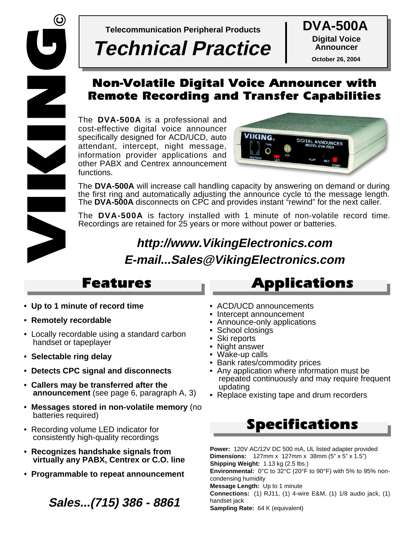

**Telecommunication Peripheral Products DVA-500A**

# **Technical Practice**

**Digital Voice Announcer October 26, 2004**

## *Non-Volatile Digital Voice Announcer with Remote Recording and Transfer Capabilities*

The **DVA-500A** is a professional and cost-effective digital voice announcer specifically designed for ACD/UCD, auto attendant, intercept, night message, information provider applications and other PABX and Centrex announcement functions.



The **DVA-500A** will increase call handling capacity by answering on demand or during the first ring and automatically adjusting the announce cycle to the message length. The **DVA-500A** disconnects on CPC and provides instant "rewind" for the next caller.

The **DVA-500A** is factory installed with 1 minute of non-volatile record time. Recordings are retained for 25 years or more without power or batteries.

# **http://www.VikingElectronics.com E-mail...Sales@VikingElectronics.com**

- **Up to 1 minute of record time**
- **Remotely recordable**
- Locally recordable using a standard carbon handset or tapeplayer
- **Selectable ring delay**
- **Detects CPC signal and disconnects**
- **Callers may be transferred after the announcement** (see page 6, paragraph A, 3)
- **Messages stored in non-volatile memory** (no batteries required)
- Recording volume LED indicator for consistently high-quality recordings
- **Recognizes handshake signals from virtually any PABX, Centrex or C.O. line**
- **Programmable to repeat announcement**

## **Sales...(715) 386 - 8861**

# *Features Applications*

- ACD/UCD announcements
- Intercept announcement
- Announce-only applications
- School closings
- Ski reports
- Night answer
- Wake-up calls
- Bank rates/commodity prices
- Any application where information must be repeated continuously and may require frequent updating
- Replace existing tape and drum recorders

# *Specifications*

**Power:** 120V AC/12V DC 500 mA, UL listed adapter provided **Dimensions:** 127mm x 127mm x 38mm (5" x 5" x 1.5") **Shipping Weight:** 1.13 kg (2.5 lbs.) **Environmental:** 0°C to 32°C (20°F to 90°F) with 5% to 95% noncondensing humidity **Message Length:** Up to 1 minute **Connections:** (1) RJ11, (1) 4-wire E&M, (1) 1/8 audio jack, (1) handset jack **Sampling Rate:** 64 K (equivalent)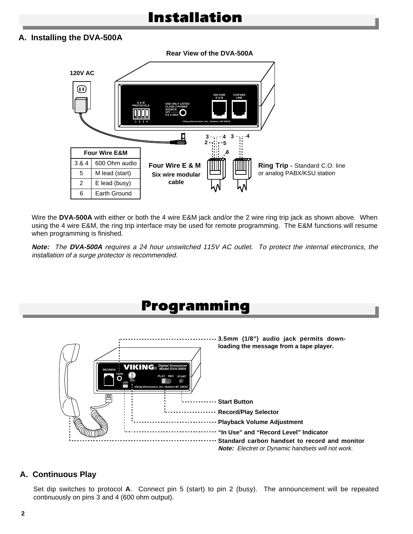#### **A. Installing the DVA-500A**

**Rear View of the DVA-500A**



Wire the **DVA-500A** with either or both the 4 wire E&M jack and/or the 2 wire ring trip jack as shown above. When using the 4 wire E&M, the ring trip interface may be used for remote programming. The E&M functions will resume when programming is finished.

**Note:** The **DVA-500A** requires a 24 hour unswitched 115V AC outlet. To protect the internal electronics, the installation of a surge protector is recommended.



### **A. Continuous Play**

Set dip switches to protocol **A**. Connect pin 5 (start) to pin 2 (busy). The announcement will be repeated continuously on pins 3 and 4 (600 ohm output).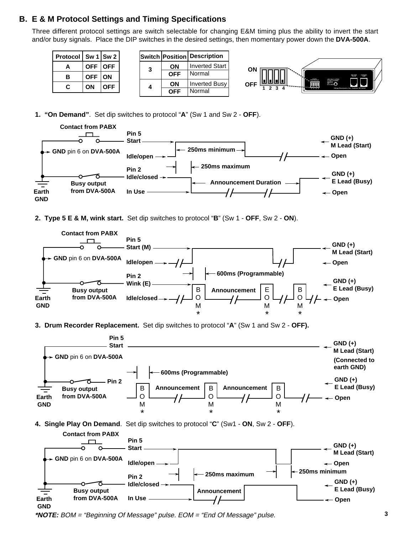#### **B. E & M Protocol Settings and Timing Specifications**

Three different protocol settings are switch selectable for changing E&M timing plus the ability to invert the start and/or busy signals. Place the DIP switches in the desired settings, then momentary power down the **DVA-500A**.

| <b>Protocol</b> | Sw $1$ Sw 2 |            |
|-----------------|-------------|------------|
| A               | OFF   OFF   |            |
| в               | <b>OFF</b>  | <b>ON</b>  |
| r.              | ΟN          | <b>OFF</b> |

|   |            | <b>Switch Position Description</b> |
|---|------------|------------------------------------|
| 3 | ΟN         | <b>Inverted Start</b>              |
|   | <b>OFF</b> | Normal                             |
| 4 | ΟN         | <b>Inverted Busy</b>               |
|   | <b>OFF</b> | Normal                             |



**1. "On Demand"**. Set dip switches to protocol "**A**" (Sw 1 and Sw 2 - **OFF**).



**2. Type 5 E & M, wink start.** Set dip switches to protocol "**B**" (Sw 1 - **OFF**, Sw 2 - **ON**).



**3. Drum Recorder Replacement.** Set dip switches to protocol "**A**" (Sw 1 and Sw 2 - **OFF).**



**In Use**

**Earth GND**

**from DVA-500A**

**Open**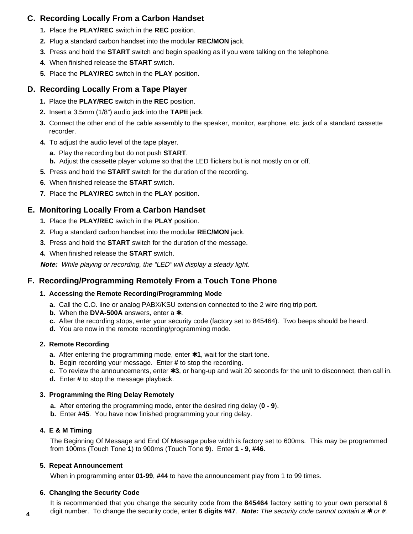### **C. Recording Locally From a Carbon Handset**

- **1.** Place the **PLAY/REC** switch in the **REC** position.
- **2.** Plug a standard carbon handset into the modular **REC/MON** jack.
- **3.** Press and hold the **START** switch and begin speaking as if you were talking on the telephone.
- **4.** When finished release the **START** switch.
- **5.** Place the **PLAY/REC** switch in the **PLAY** position.

### **D. Recording Locally From a Tape Player**

- **1.** Place the **PLAY/REC** switch in the **REC** position.
- **2.** Insert a 3.5mm (1/8") audio jack into the **TAPE** jack.
- **3.** Connect the other end of the cable assembly to the speaker, monitor, earphone, etc. jack of a standard cassette recorder.
- **4.** To adjust the audio level of the tape player.
	- **a.** Play the recording but do not push **START**.
	- **b.** Adjust the cassette player volume so that the LED flickers but is not mostly on or off.
- **5.** Press and hold the **START** switch for the duration of the recording.
- **6.** When finished release the **START** switch.
- **7.** Place the **PLAY/REC** switch in the **PLAY** position.

### **E. Monitoring Locally From a Carbon Handset**

- **1.** Place the **PLAY/REC** switch in the **PLAY** position.
- **2.** Plug a standard carbon handset into the modular **REC/MON** jack.
- **3.** Press and hold the **START** switch for the duration of the message.
- **4.** When finished release the **START** switch.

**Note:** While playing or recording, the "LED" will display a steady light.

### **F. Recording/Programming Remotely From a Touch Tone Phone**

#### **1. Accessing the Remote Recording/Programming Mode**

- **a.** Call the C.O. line or analog PABX/KSU extension connected to the 2 wire ring trip port.
- **b.** When the **DVA-500A** answers, enter a **⊁**.
- **c.** After the recording stops, enter your security code (factory set to 845464). Two beeps should be heard.
- **d.** You are now in the remote recording/programming mode.

#### **2. Remote Recording**

- **a.** After entering the programming mode, enter ✱**1**, wait for the start tone.
- **b.** Begin recording your message. Enter **#** to stop the recording.
- **c.** To review the announcements, enter ✱**3**, or hang-up and wait 20 seconds for the unit to disconnect, then call in.
- **d.** Enter **#** to stop the message playback.

#### **3. Programming the Ring Delay Remotely**

- **a.** After entering the programming mode, enter the desired ring delay (**0 9**).
- **b.** Enter **#45**. You have now finished programming your ring delay.

#### **4. E & M Timing**

The Beginning Of Message and End Of Message pulse width is factory set to 600ms. This may be programmed from 100ms (Touch Tone **1**) to 900ms (Touch Tone **9**). Enter **1 - 9**, **#46**.

#### **5. Repeat Announcement**

When in programming enter **01-99**, **#44** to have the announcement play from 1 to 99 times.

#### **6. Changing the Security Code**

It is recommended that you change the security code from the **845464** factory setting to your own personal 6 digit number. To change the security code, enter **6 digits #47**. **Note:** The security code cannot contain a ✱ or **#**. **<sup>4</sup>**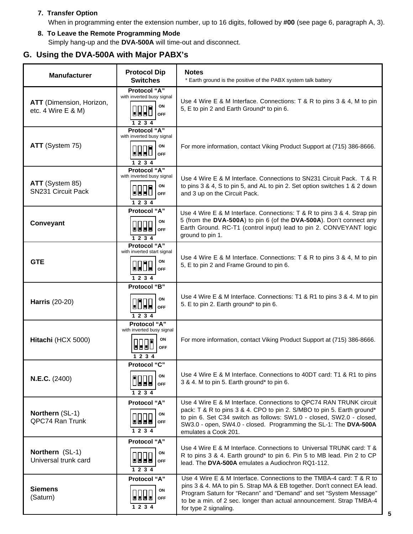#### **7. Transfer Option**

When in programming enter the extension number, up to 16 digits, followed by **#00** (see page 6, paragraph A, 3).

**8. To Leave the Remote Programming Mode** Simply hang-up and the **DVA-500A** will time-out and disconnect.

### **G. Using the DVA-500A with Major PABX's**

| <b>Manufacturer</b>                            | <b>Protocol Dip</b><br><b>Switches</b>                                                                                                             | <b>Notes</b><br>* Earth ground is the positive of the PABX system talk battery                                                                                                                                                                                                                                        |  |  |  |  |
|------------------------------------------------|----------------------------------------------------------------------------------------------------------------------------------------------------|-----------------------------------------------------------------------------------------------------------------------------------------------------------------------------------------------------------------------------------------------------------------------------------------------------------------------|--|--|--|--|
| ATT (Dimension, Horizon,<br>etc. 4 Wire E & M) | Protocol "A"<br>with inverted busy signal<br>ON<br>989L<br><b>OFF</b><br>1 2 3 4                                                                   | Use 4 Wire E & M Interface. Connections: T & R to pins 3 & 4, M to pin<br>5, E to pin 2 and Earth Ground* to pin 6.                                                                                                                                                                                                   |  |  |  |  |
| ATT (System 75)                                | Protocol "A"<br>with inverted busy signal<br>ON<br>999)<br><b>OFF</b><br>1 2 3 4                                                                   | For more information, contact Viking Product Support at (715) 386-8666.                                                                                                                                                                                                                                               |  |  |  |  |
| ATT (System 85)<br><b>SN231 Circuit Pack</b>   | Protocol "A"<br>with inverted busy signal<br>ON<br>000l<br><b>OFF</b><br>1 2 3 4                                                                   | Use 4 Wire E & M Interface. Connections to SN231 Circuit Pack. T & R<br>to pins 3 & 4, S to pin 5, and AL to pin 2. Set option switches 1 & 2 down<br>and 3 up on the Circuit Pack.                                                                                                                                   |  |  |  |  |
| Conveyant                                      | Protocol "A"<br>ON<br>▕▟▐▟▐▟▏<br><b>OFF</b><br>1 2 3 4                                                                                             | Use 4 Wire E & M Interface. Connections: T & R to pins 3 & 4. Strap pin<br>5 (from the DVA-500A) to pin 6 (of the DVA-500A). Don't connect any<br>Earth Ground. RC-T1 (control input) lead to pin 2. CONVEYANT logic<br>ground to pin 1.                                                                              |  |  |  |  |
| <b>GTE</b>                                     | <b>Protocol "A"</b><br>with inverted start signal<br>ON<br>$\blacksquare\blacksquare\blacksquare\blacksquare\blacksquare$<br><b>OFF</b><br>1 2 3 4 | Use 4 Wire E & M Interface. Connections: T & R to pins 3 & 4, M to pin<br>5, E to pin 2 and Frame Ground to pin 6.                                                                                                                                                                                                    |  |  |  |  |
| <b>Harris (20-20)</b>                          | Protocol "B"<br>ON<br>0000<br><b>OFF</b><br>1234                                                                                                   | Use 4 Wire E & M Interface. Connections: T1 & R1 to pins 3 & 4. M to pin<br>5. E to pin 2. Earth ground* to pin 6.                                                                                                                                                                                                    |  |  |  |  |
| Hitachi (HCX 5000)                             | <b>Protocol "A"</b><br>with inverted busy signal<br>ON<br><b>NULLE</b><br><b>OFF</b><br>1 2 3 4                                                    | For more information, contact Viking Product Support at (715) 386-8666.                                                                                                                                                                                                                                               |  |  |  |  |
| N.E.C. (2400)                                  | Protocol "C"<br>ON<br>1000<br><b>OFF</b><br>1 2 3 4                                                                                                | Use 4 Wire E & M Interface. Connections to 40DT card: T1 & R1 to pins<br>3 & 4. M to pin 5. Earth ground* to pin 6.                                                                                                                                                                                                   |  |  |  |  |
| Northern (SL-1)<br>QPC74 Ran Trunk             | Protocol "A"<br>ON<br>9998<br><b>OFF</b><br>1234                                                                                                   | Use 4 Wire E & M Interface. Connections to QPC74 RAN TRUNK circuit<br>pack: T & R to pins 3 & 4. CPO to pin 2. S/MBO to pin 5. Earth ground*<br>to pin 6. Set C34 switch as follows: SW1.0 - closed, SW2.0 - closed,<br>SW3.0 - open, SW4.0 - closed. Programming the SL-1: The DVA-500A<br>emulates a Cook 201.      |  |  |  |  |
| Northern (SL-1)<br>Universal trunk card        | Protocol "A"<br>ON<br><b>OFF</b><br>1 2 3 4                                                                                                        | Use 4 Wire E & M Interface. Connections to Universal TRUNK card: T &<br>R to pins 3 & 4. Earth ground* to pin 6. Pin 5 to MB lead. Pin 2 to CP<br>lead. The DVA-500A emulates a Audiochron RQ1-112.                                                                                                                   |  |  |  |  |
| <b>Siemens</b><br>(Saturn)                     | <b>Protocol "A"</b><br>ON<br><b>OFF</b><br>1 2 3 4                                                                                                 | Use 4 Wire E & M Interface. Connections to the TMBA-4 card: T & R to<br>pins 3 & 4. MA to pin 5. Strap MA & EB together. Don't connect EA lead.<br>Program Saturn for "Recann" and "Demand" and set "System Message"<br>to be a min. of 2 sec. longer than actual announcement. Strap TMBA-4<br>for type 2 signaling. |  |  |  |  |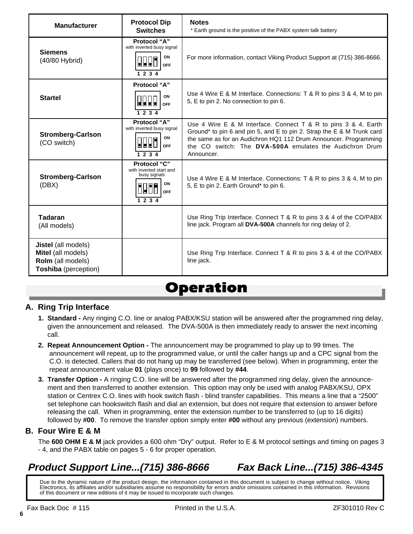| <b>Manufacturer</b>                                                                           | <b>Protocol Dip</b><br><b>Switches</b>                                                 | <b>Notes</b><br>* Earth ground is the positive of the PABX system talk battery                                                                                                                                                                                                            |  |  |  |  |  |
|-----------------------------------------------------------------------------------------------|----------------------------------------------------------------------------------------|-------------------------------------------------------------------------------------------------------------------------------------------------------------------------------------------------------------------------------------------------------------------------------------------|--|--|--|--|--|
| <b>Siemens</b><br>(40/80 Hybrid)                                                              | Protocol "A"<br>with inverted busy signal<br>ON<br><b>OFF</b><br>1234                  | For more information, contact Viking Product Support at (715) 386-8666.                                                                                                                                                                                                                   |  |  |  |  |  |
| <b>Startel</b>                                                                                | Protocol "A"<br>ON<br>E E E E<br>OFF<br>1234                                           | Use 4 Wire E & M Interface. Connections: T & R to pins 3 & 4, M to pin<br>5, E to pin 2. No connection to pin 6.                                                                                                                                                                          |  |  |  |  |  |
| <b>Stromberg-Carlson</b><br>(CO switch)                                                       | Protocol "A"<br>with inverted busy signal<br>ON<br><b>OFF</b><br>1234                  | Use 4 Wire E & M Interface. Connect T & R to pins $3 \& 4$ , Earth<br>Ground* to pin 6 and pin 5, and E to pin 2. Strap the E & M Trunk card<br>the same as for an Audichron HQ1 112 Drum Announcer. Programming<br>the CO switch: The DVA-500A emulates the Audichron Drum<br>Announcer. |  |  |  |  |  |
| <b>Stromberg-Carlson</b><br>(DBX)                                                             | Protocol "C"<br>with inverted start and<br>busy signals<br>ON<br><b>OFF</b><br>1 2 3 4 | Use 4 Wire E & M Interface. Connections: T & R to pins 3 & 4, M to pin<br>5, E to pin 2. Earth Ground* to pin 6.                                                                                                                                                                          |  |  |  |  |  |
| <b>Tadaran</b><br>(All models)                                                                |                                                                                        | Use Ring Trip Interface. Connect $T$ & R to pins 3 & 4 of the CO/PABX<br>line jack. Program all DVA-500A channels for ring delay of 2.                                                                                                                                                    |  |  |  |  |  |
| <b>Jistel</b> (all models)<br>Mitel (all models)<br>Rolm (all models)<br>Toshiba (perception) |                                                                                        | Use Ring Trip Interface. Connect $T$ & R to pins 3 & 4 of the CO/PABX<br>line jack.                                                                                                                                                                                                       |  |  |  |  |  |

# *Operation*

### **A. Ring Trip Interface**

- **1. Standard** Any ringing C.O. line or analog PABX/KSU station will be answered after the programmed ring delay, given the announcement and released. The DVA-500A is then immediately ready to answer the next incoming call.
- **2. Repeat Announcement Option** The announcement may be programmed to play up to 99 times. The announcement will repeat, up to the programmed value, or until the caller hangs up and a CPC signal from the C.O. is detected. Callers that do not hang up may be transferred (see below). When in programming, enter the repeat announcement value **01** (plays once) to **99** followed by **#44**.
- **3. Transfer Option** A ringing C.O. line will be answered after the programmed ring delay, given the announce ment and then transferred to another extension. This option may only be used with analog PABX/KSU, OPX station or Centrex C.O. lines with hook switch flash - blind transfer capabilities. This means a line that a "2500" set telephone can hookswitch flash and dial an extension, but does not require that extension to answer before releasing the call. When in programming, enter the extension number to be transferred to (up to 16 digits) followed by **#00**. To remove the transfer option simply enter **#00** without any previous (extension) numbers.

### **B. Four Wire E & M**

The **600 OHM E & M** jack provides a 600 ohm "Dry" output. Refer to E & M protocol settings and timing on pages 3 - 4, and the PABX table on pages 5 - 6 for proper operation.

### **Product Support Line...(715) 386-8666 Fax Back Line...(715) 386-4345**

Due to the dynamic nature of the product design, the information contained in this document is subject to change without notice. Viking Electronics, its affiliates and/or subsidiaries assume no responsibility for errors and/or omissions contained in this information. Revisions of this document or new editions of it may be issued to incorporate such changes.

**6**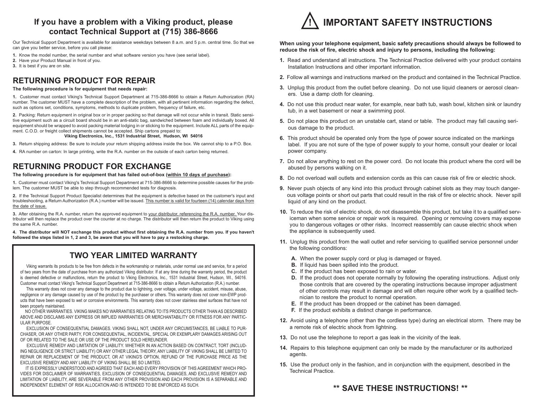#### **If you have a problem with a Viking product, please contact Technical Support at (715) 386-8666**

Our Technical Support Department is available for assistance weekdays between 8 a.m. and 5 p.m. central time. So that we can give you better service, before you call please:

- **1.** Know the model number, the serial number and what software version you have (see serial label).
- **2.** Have your Product Manual in front of you.
- **3.** It is best if you are on site.

### **RETURNING PRODUCT FOR REPAIR**

#### **The following procedure is for equipment that needs repair:**

**1.** Customer must contact Viking's Technical Support Department at 715-386-8666 to obtain a Return Authorization (RA) number. The customer MUST have a complete description of the problem, with all pertinent information regarding the defect, such as options set, conditions, symptoms, methods to duplicate problem, frequency of failure, etc.

**2.** Packing: Return equipment in original box or in proper packing so that damage will not occur while in transit. Static sensitive equipment such as a circuit board should be in an anti-static bag, sandwiched between foam and individually boxed. All equipment should be wrapped to avoid packing material lodging in or sticking to the equipment. Include ALL parts of the equipment. C.O.D. or freight collect shipments cannot be accepted. Ship cartons prepaid to:

#### **Viking Electronics, Inc., 1531 Industrial Street, Hudson, WI 54016**

- **3.** Return shipping address: Be sure to include your return shipping address inside the box. We cannot ship to a P.O. Box.
- **4.** RA number on carton: In large printing, write the R.A. number on the outside of each carton being returned.

#### **RETURNING PRODUCT FOR EXCHANGE**

#### **The following procedure is for equipment that has failed out-of-box (within 10 days of purchase):**

**1.** Customer must contact Viking's Technical Support Department at 715-386-8666 to determine possible causes for the problem. The customer MUST be able to step through recommended tests for diagnosis.

**2.** If the Technical Support Product Specialist determines that the equipment is defective based on the customer's input and troubleshooting, a Return Authorization (R.A.) number will be issued. This number is valid for fourteen (14) calendar days from the date of issue.

**3.** After obtaining the R.A. number, return the approved equipment to your distributor, referencing the R.A. number. Your distributor will then replace the product over the counter at no charge. The distributor will then return the product to Viking using the same R.A. number.

**4. The distributor will NOT exchange this product without first obtaining the R.A. number from you. If you haven't followed the steps listed in 1, 2 and 3, be aware that you will have to pay a restocking charge.** 

#### **TWO YEAR LIMITED WARRANTY**

Viking warrants its products to be free from defects in the workmanship or materials, under normal use and service, for a period of two years from the date of purchase from any authorized Viking distributor. If at any time during the warranty period, the product is deemed defective or malfunctions, return the product to Viking Electronics, Inc., 1531 Industrial Street, Hudson, WI., 54016. Customer must contact Viking's Technical Support Department at 715-386-8666 to obtain a Return Authorization (R.A.) number.

This warranty does not cover any damage to the product due to lightning, over voltage, under voltage, accident, misuse, abuse, negligence or any damage caused by use of the product by the purchaser or others. This warranty does not cover non-EWP products that have been exposed to wet or corrosive environments. This warranty does not cover stainless steel surfaces that have not been properly maintained.

NO OTHER WARRANTIES. VIKING MAKES NO WARRANTIES RELATING TO ITS PRODUCTS OTHER THAN AS DESCRIBED ABOVE AND DISCLAIMS ANY EXPRESS OR IMPLIED WARRANTIES OR MERCHANTABILITY OR FITNESS FOR ANY PARTIC-ULAR PURPOSE.

EXCLUSION OF CONSEQUENTIAL DAMAGES. VIKING SHALL NOT, UNDER ANY CIRCUMSTANCES, BE LIABLE TO PUR-CHASER, OR ANY OTHER PARTY, FOR CONSEQUENTIAL, INCIDENTAL, SPECIAL OR EXEMPLARY DAMAGES ARISING OUT OF OR RELATED TO THE SALE OR USE OF THE PRODUCT SOLD HEREUNDER.

EXCLUSIVE REMEDY AND LIMITATION OF LIABILITY. WHETHER IN AN ACTION BASED ON CONTRACT, TORT (INCLUD-ING NEGLIGENCE OR STRICT LIABILITY) OR ANY OTHER LEGAL THEORY, ANY LIABILITY OF VIKING SHALL BE LIMITED TO REPAIR OR REPLACEMENT OF THE PRODUCT, OR AT VIKING'S OPTION, REFUND OF THE PURCHASE PRICE AS THE EXCLUSIVE REMEDY AND ANY LIABILITY OF VIKING SHALL BE SO LIMITED.

IT IS EXPRESSLY UNDERSTOOD AND AGREED THAT EACH AND EVERY PROVISION OF THIS AGREEMENT WHICH PRO-VIDES FOR DISCLAIMER OF WARRANTIES, EXCLUSION OF CONSEQUENTIAL DAMAGES, AND EXCLUSIVE REMEDY AND LIMITATION OF LIABILITY, ARE SEVERABLE FROM ANY OTHER PROVISION AND EACH PROVISION IS A SEPARABLE AND INDEPENDENT ELEMENT OF RISK ALLOCATION AND IS INTENDED TO BE ENFORCED AS SUCH.



#### **When using your telephone equipment, basic safety precautions should always be followed to reduce the risk of fire, electric shock and injury to persons, including the following:**

- **1.** Read and understand all instructions. The Technical Practice delivered with your product contains Installation Instructions and other important information.
- **2.** Follow all warnings and instructions marked on the product and contained in the Technical Practice.
- **3.** Unplug this product from the outlet before cleaning. Do not use liquid cleaners or aerosol cleaners. Use a damp cloth for cleaning.
- **4.** Do not use this product near water, for example, near bath tub, wash bowl, kitchen sink or laundry tub, in a wet basement or near a swimming pool.
- **5.** Do not place this product on an unstable cart, stand or table. The product may fall causing serious damage to the product.
- **6.** This product should be operated only from the type of power source indicated on the markings label. If you are not sure of the type of power supply to your home, consult your dealer or local power company.
- **7.** Do not allow anything to rest on the power cord. Do not locate this product where the cord will be abused by persons walking on it.
- **8.** Do not overload wall outlets and extension cords as this can cause risk of fire or electric shock.
- **9.** Never push objects of any kind into this product through cabinet slots as they may touch dangerous voltage points or short out parts that could result in the risk of fire or electric shock. Never spill liquid of any kind on the product.
- **10.** To reduce the risk of electric shock, do not disassemble this product, but take it to a qualified serviceman when some service or repair work is required. Opening or removing covers may expose you to dangerous voltages or other risks. Incorrect reassembly can cause electric shock when the appliance is subsequently used.
- **11.** Unplug this product from the wall outlet and refer servicing to qualified service personnel under the following conditions:
	- **A.** When the power supply cord or plug is damaged or frayed.
	- **B.** If liquid has been spilled into the product.
	- **C.** If the product has been exposed to rain or water.
	- **D.** If the product does not operate normally by following the operating instructions. Adjust only those controls that are covered by the operating instructions because improper adjustment of other controls may result in damage and will often require other work by a qualified technician to restore the product to normal operation.
	- **E.** If the product has been dropped or the cabinet has been damaged.
	- **F.** If the product exhibits a distinct change in performance.
- **12.** Avoid using a telephone (other than the cordless type) during an electrical storm. There may be a remote risk of electric shock from lightning.
- **13.** Do not use the telephone to report a gas leak in the vicinity of the leak.
- **14.** Repairs to this telephone equipment can only be made by the manufacturer or its authorized agents.
- **15.** Use the product only in the fashion, and in conjunction with the equipment, described in the Technical Practice.

#### **\*\* SAVE THESE INSTRUCTIONS! \*\***